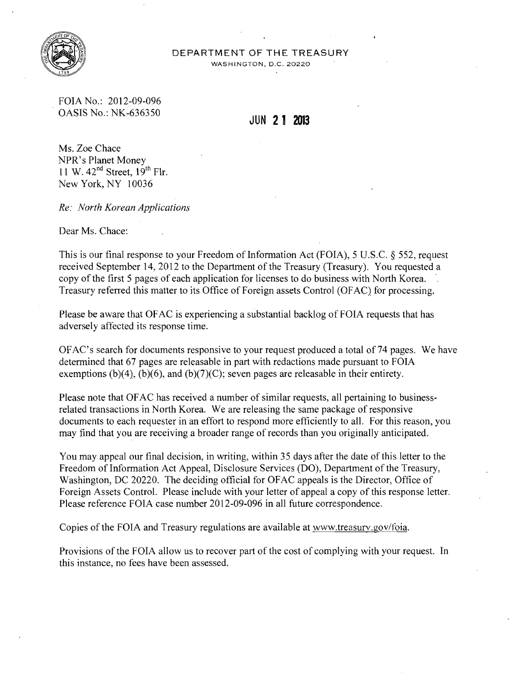

## DEPARTMENT OF THE TREASURY

WASHINGTON, D.C. 20220

FOIA No.: 2012-09-096 . OASIS No.: NK-636350 **JUN 21 2013** 

Ms. Zoe Chace NPR's Planet Money 11 W.  $42<sup>nd</sup>$  Street,  $19<sup>th</sup>$  Flr. New York, NY 10036

*Re: North Korean Applications* 

Dear Ms. Chace:

This is our final response to your Freedom of Information Act (FOIA), 5 U.S.C. § 552, request received September 14,2012 to the Department of the Treasury(Treasury). You requested a copy of the first 5 pages of each application for licenses to do business with North Korea. Treasury referred this matter to its Office of Foreign assets Control (OF AC) for processing.

Please be aware that OF AC is experiencing a substantial backlog of FOIA requests that has adversely affected its response time.

OFAC's search for documents responsive to your request produced a total of 74 pages. We have determined that 67 pages are releasable in part with redactions made pursuant to FOIA exemptions  $(b)(4)$ ,  $(b)(6)$ , and  $(b)(7)(C)$ ; seven pages are releasable in their entirety.

Please note that OF AC has received a number of similar requests, all pertaining to businessrelated transactions in North Korea. We are releasing the same package of responsive documents to each requester in an effort to respond more efficiently to all. For this reason, you may find that you are receiving a broader range of records than you originally anticipated.

You may appeal our final decision, in writing, within 35 days after the date of this letter to the Freedom of Information Act Appeal, Disclosure Services (DO), Department of the Treasury, Washington, DC 20220. The deciding official for OFAC appeals is the Director, Office of Foreign Assets Control. Please include with your letter of appeal a copy of this response letter. Please reference FOIA case number 2012-09-096 in all future correspondence.

Copies of the FOIA and Treasury regulations are available at www.treasurv.gov/foia.

Provisions of the FOIA allow us to recover part of the cost of complying with your request. In this instance, no fees have been assessed.